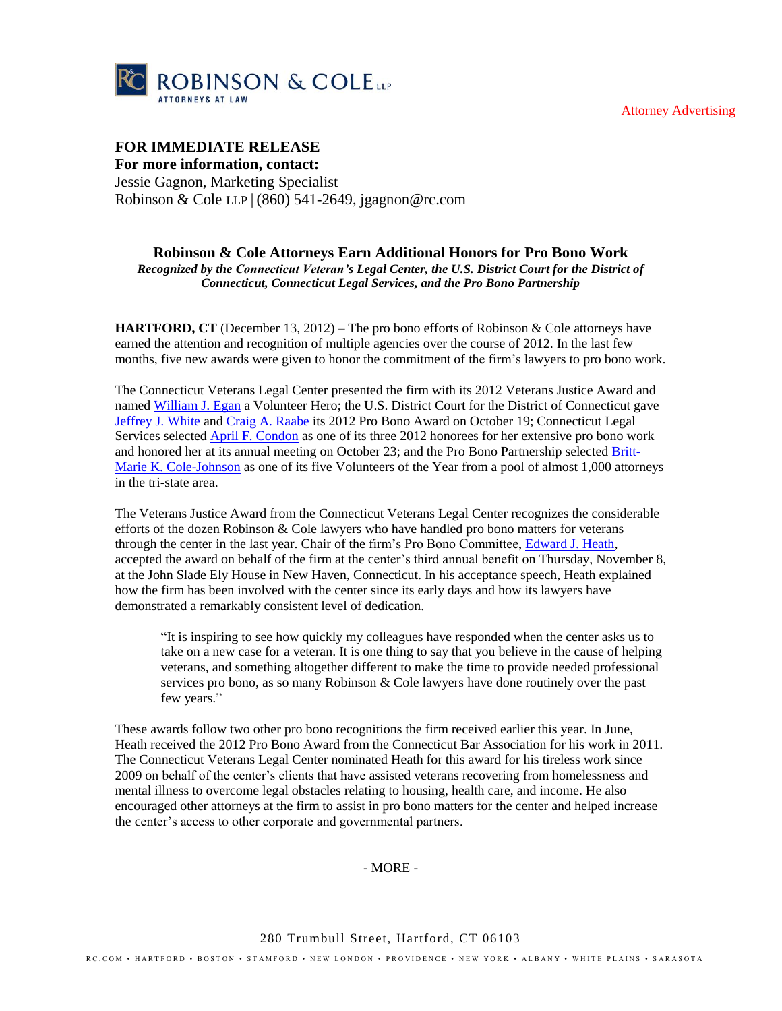Attorney Advertising



## **FOR IMMEDIATE RELEASE**

**For more information, contact:** Jessie Gagnon, Marketing Specialist Robinson & Cole LLP | (860) 541-2649, jgagnon@rc.com

## **Robinson & Cole Attorneys Earn Additional Honors for Pro Bono Work**

*Recognized by the Connecticut Veteran's Legal Center, the U.S. District Court for the District of Connecticut, Connecticut Legal Services, and the Pro Bono Partnership*

**HARTFORD, CT** (December 13, 2012) – The pro bono efforts of Robinson & Cole attorneys have earned the attention and recognition of multiple agencies over the course of 2012. In the last few months, five new awards were given to honor the commitment of the firm's lawyers to pro bono work.

The Connecticut Veterans Legal Center presented the firm with its 2012 Veterans Justice Award and named [William J. Egan](http://www.rc.com/Bio.cfm?eID=1440) a Volunteer Hero; the U.S. District Court for the District of Connecticut gave [Jeffrey J. White](http://www.rc.com/Bio.cfm?eID=1060) and [Craig A. Raabe](http://www.rc.com/Bio.cfm?eID=741) its 2012 Pro Bono Award on October 19; Connecticut Legal Services selected **April F. Condon** as one of its three 2012 honorees for her extensive pro bono work and honored her at its annual meeting on October 23; and the Pro Bono Partnership selected [Britt-](http://www.rc.com/Bio.cfm?eID=1287)[Marie K. Cole-Johnson](http://www.rc.com/Bio.cfm?eID=1287) as one of its five Volunteers of the Year from a pool of almost 1,000 attorneys in the tri-state area.

The Veterans Justice Award from the Connecticut Veterans Legal Center recognizes the considerable efforts of the dozen Robinson & Cole lawyers who have handled pro bono matters for veterans through the center in the last year. Chair of the firm's Pro Bono Committee, [Edward J. Heath,](http://www.rc.com/Bio.cfm?eID=857) accepted the award on behalf of the firm at the center's third annual benefit on Thursday, November 8, at the John Slade Ely House in New Haven, Connecticut. In his acceptance speech, Heath explained how the firm has been involved with the center since its early days and how its lawyers have demonstrated a remarkably consistent level of dedication.

"It is inspiring to see how quickly my colleagues have responded when the center asks us to take on a new case for a veteran. It is one thing to say that you believe in the cause of helping veterans, and something altogether different to make the time to provide needed professional services pro bono, as so many Robinson & Cole lawyers have done routinely over the past few years."

These awards follow two other pro bono recognitions the firm received earlier this year. In June, Heath received the 2012 Pro Bono Award from the Connecticut Bar Association for his work in 2011. The Connecticut Veterans Legal Center nominated Heath for this award for his tireless work since 2009 on behalf of the center's clients that have assisted veterans recovering from homelessness and mental illness to overcome legal obstacles relating to housing, health care, and income. He also encouraged other attorneys at the firm to assist in pro bono matters for the center and helped increase the center's access to other corporate and governmental partners.

- MORE -